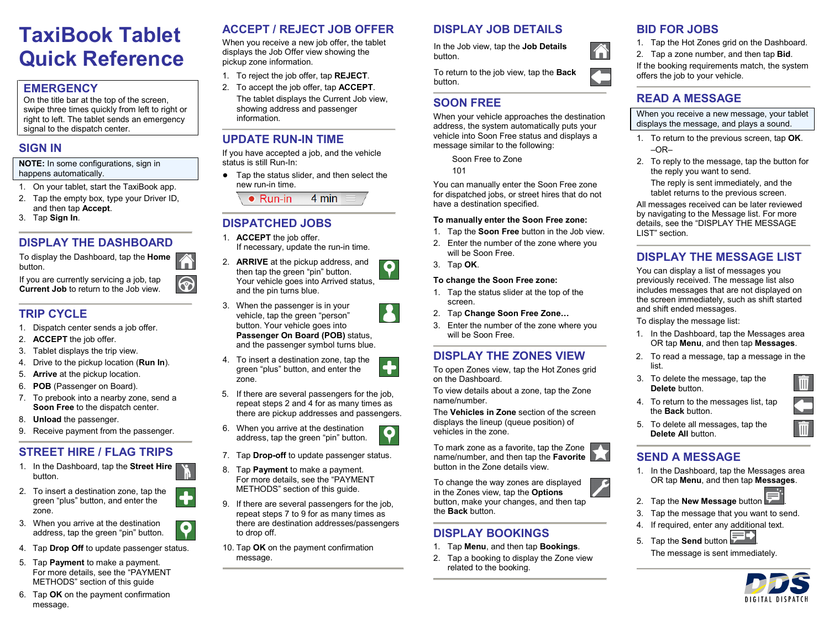# **TaxiBook Tablet Quick Reference**

#### **EMERGENCY**

On the title bar at the top of the screen, swipe three times quickly from left to right or right to left. The tablet sends an emergency signal to the dispatch center.

#### **SIGN IN**

**NOTE:** In some configurations, sign in happens automatically.

- 1. On your tablet, start the TaxiBook app.
- 2. Tap the empty box, type your Driver ID, and then tap **Accept**.
- 3. Tap **Sign In**.

### **DISPLAY THE DASHBOARD**

To display the Dashboard, tap the **Home** button.

ၹ

P

 $\boldsymbol{Q}$ 

If you are currently servicing a job, tap **Current Job** to return to the Job view.

### **TRIP CYCLE**

- 1. Dispatch center sends a job offer.
- 2. **ACCEPT** the job offer.
- 3. Tablet displays the trip view.
- 4. Drive to the pickup location (**Run In**).
- 5. **Arrive** at the pickup location.
- 6. **POB** (Passenger on Board).
- 7. To prebook into a nearby zone, send a **Soon Free** to the dispatch center.
- 8. **Unload** the passenger.
- 9. Receive payment from the passenger.

# **STREET HIRE / FLAG TRIPS**

- 1. In the Dashboard, tap the **Street Hire** button.
- 2. To insert a destination zone, tap the green "plus" button, and enter the zone.
- 3. When you arrive at the destination address, tap the green "pin" button.
- 4. Tap **Drop Off** to update passenger status.
- 5. Tap **Payment** to make a payment. For more details, see the "PAYMENT METHODS" section of this guide

#### 6. Tap **OK** on the payment confirmation message.

# **ACCEPT / REJECT JOB OFFER**

When you receive a new job offer, the tablet displays the Job Offer view showing the pickup zone information.

- 1. To reject the job offer, tap **REJECT**.
- 2. To accept the job offer, tap **ACCEPT**. The tablet displays the Current Job view, showing address and passenger information.

# **UPDATE RUN-IN TIME**

If you have accepted a job, and the vehicle status is still Run-In:

● Tap the status slider, and then select the new run-in time.

> 4 min  $\bullet$  Run-in

# **DISPATCHED JOBS**

- 1. **ACCEPT** the job offer. If necessary, update the run-in time.
- <span id="page-0-0"></span>2. **ARRIVE** at the pickup address, and O then tap the green "pin" button. Your vehicle goes into Arrived status, and the pin turns blue.
- <span id="page-0-1"></span>3. When the passenger is in your vehicle, tap the green "person" button. Your vehicle goes into **Passenger On Board (POB)** status, and the passenger symbol turns blue.
- 4. To insert a destination zone, tap the green "plus" button, and enter the zone.
- 5. If there are several passengers for the job, repeat step[s 2](#page-0-0) an[d 4](#page-0-1) for as many times as there are pickup addresses and passengers.

Ŧ

9

- <span id="page-0-2"></span>6. When you arrive at the destination address, tap the green "pin" button.
- 7. Tap **Drop-off** to update passenger status.
- 8. Tap **Payment** to make a payment. For more details, see the "PAYMENT METHODS" section of this guide.
- 9. If there are several passengers for the job, repeat steps [7](#page-0-2) to 9 for as many times as there are destination addresses/passengers to drop off.
- 10. Tap **OK** on the payment confirmation message.

# **DISPLAY JOB DETAILS**

In the Job view, tap the **Job Details**  button.

To return to the job view, tap the **Back** button.

#### **SOON FREE**

When your vehicle approaches the destination address, the system automatically puts your vehicle into Soon Free status and displays a message similar to the following:

Soon Free to Zone

101

You can manually enter the Soon Free zone for dispatched jobs, or street hires that do not have a destination specified.

#### **To manually enter the Soon Free zone:**

- 1. Tap the **Soon Free** button in the Job view.
- 2. Enter the number of the zone where you will be Soon Free.
- 3. Tap **OK**.

#### **To change the Soon Free zone:**

- 1. Tap the status slider at the top of the screen.
- 2. Tap **Change Soon Free Zone…**
- 3. Enter the number of the zone where you will be Soon Free.

#### **DISPLAY THE ZONES VIEW**

To open Zones view, tap the Hot Zones grid on the Dashboard.

To view details about a zone, tap the Zone name/number.

The **Vehicles in Zone** section of the screen displays the lineup (queue position) of vehicles in the zone.

To mark zone as a favorite, tap the Zone name/number, and then tap the **Favorite** button in the Zone details view.

To change the way zones are displayed in the Zones view, tap the **Options** button, make your changes, and then tap the **Back** button.

#### **DISPLAY BOOKINGS**

- 1. Tap **Menu**, and then tap **Bookings**.
- 2. Tap a booking to display the Zone view related to the booking.

# **BID FOR JOBS**

Â

1. Tap the Hot Zones grid on the Dashboard. 2. Tap a zone number, and then tap **Bid**.

If the booking requirements match, the system offers the job to your vehicle.

### **READ A MESSAGE**

When you receive a new message, your tablet displays the message, and plays a sound.

- 1. To return to the previous screen, tap **OK**.  $-OR-$
- 2. To reply to the message, tap the button for the reply you want to send.

The reply is sent immediately, and the tablet returns to the previous screen.

All messages received can be later reviewed by navigating to the Message list. For more details, see the "DISPLAY THE MESSAGE LIST" section.

# **DISPLAY THE MESSAGE LIST**

You can display a list of messages you previously received. The message list also includes messages that are not displayed on the screen immediately, such as shift started and shift ended messages.

To display the message list:

- 1. In the Dashboard, tap the Messages area OR tap **Menu**, and then tap **Messages**.
- 2. To read a message, tap a message in the list.
- 3. To delete the message, tap the **Delete** button.
- 4. To return to the messages list, tap the **Back** button.
- 5. To delete all messages, tap the **Delete All** button.

# **SEND A MESSAGE**

1. In the Dashboard, tap the Messages area OR tap **Menu**, and then tap **Messages**.



- 2. Tap the **New Message** button . 3. Tap the message that you want to send.
- 4. If required, enter any additional text.
- 5. Tap the **Send** button
	- The message is sent immediately.